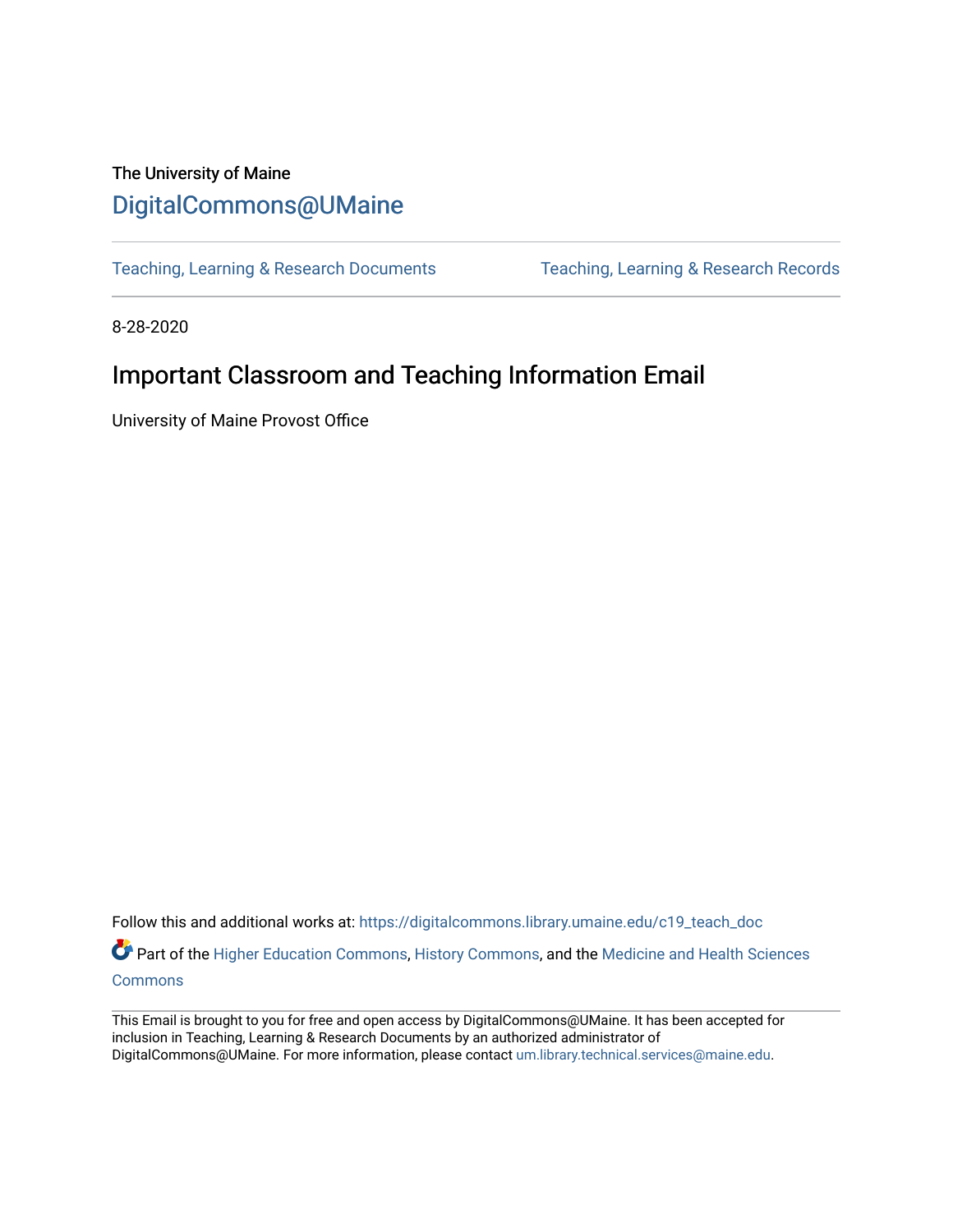## The University of Maine [DigitalCommons@UMaine](https://digitalcommons.library.umaine.edu/)

[Teaching, Learning & Research Documents](https://digitalcommons.library.umaine.edu/c19_teach_doc) [Teaching, Learning & Research Records](https://digitalcommons.library.umaine.edu/c19_teach) 

8-28-2020

# Important Classroom and Teaching Information Email

University of Maine Provost Office

Follow this and additional works at: [https://digitalcommons.library.umaine.edu/c19\\_teach\\_doc](https://digitalcommons.library.umaine.edu/c19_teach_doc?utm_source=digitalcommons.library.umaine.edu%2Fc19_teach_doc%2F50&utm_medium=PDF&utm_campaign=PDFCoverPages) Part of the [Higher Education Commons,](http://network.bepress.com/hgg/discipline/1245?utm_source=digitalcommons.library.umaine.edu%2Fc19_teach_doc%2F50&utm_medium=PDF&utm_campaign=PDFCoverPages) [History Commons,](http://network.bepress.com/hgg/discipline/489?utm_source=digitalcommons.library.umaine.edu%2Fc19_teach_doc%2F50&utm_medium=PDF&utm_campaign=PDFCoverPages) and the Medicine and Health Sciences

**[Commons](http://network.bepress.com/hgg/discipline/648?utm_source=digitalcommons.library.umaine.edu%2Fc19_teach_doc%2F50&utm_medium=PDF&utm_campaign=PDFCoverPages)** 

This Email is brought to you for free and open access by DigitalCommons@UMaine. It has been accepted for inclusion in Teaching, Learning & Research Documents by an authorized administrator of DigitalCommons@UMaine. For more information, please contact [um.library.technical.services@maine.edu](mailto:um.library.technical.services@maine.edu).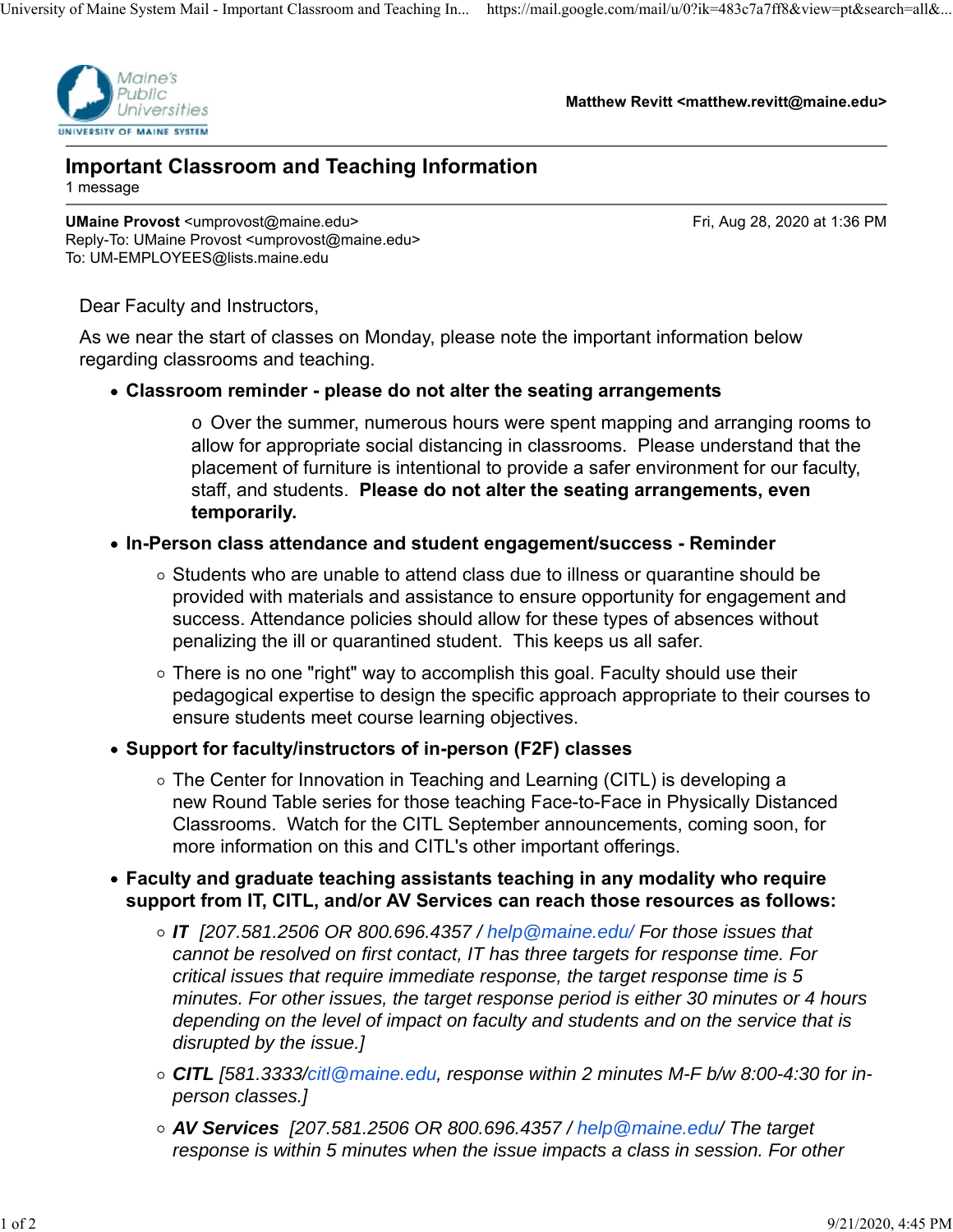

**Matthew Revitt <matthew.revitt@maine.edu>**

#### **Important Classroom and Teaching Information** 1 message

**UMaine Provost** <umprovost@maine.edu> **Fri, Aug 28, 2020 at 1:36 PM** Reply-To: UMaine Provost <umprovost@maine.edu> To: UM-EMPLOYEES@lists.maine.edu

Dear Faculty and Instructors,

As we near the start of classes on Monday, please note the important information below regarding classrooms and teaching.

### **Classroom reminder - please do not alter the seating arrangements**

o Over the summer, numerous hours were spent mapping and arranging rooms to allow for appropriate social distancing in classrooms. Please understand that the placement of furniture is intentional to provide a safer environment for our faculty, staff, and students. **Please do not alter the seating arrangements, even temporarily.**

#### **In-Person class attendance and student engagement/success - Reminder**

- $\circ$  Students who are unable to attend class due to illness or quarantine should be provided with materials and assistance to ensure opportunity for engagement and success. Attendance policies should allow for these types of absences without penalizing the ill or quarantined student. This keeps us all safer.
- $\circ$  There is no one "right" way to accomplish this goal. Faculty should use their pedagogical expertise to design the specific approach appropriate to their courses to ensure students meet course learning objectives.

### **Support for faculty/instructors of in-person (F2F) classes**

- The Center for Innovation in Teaching and Learning (CITL) is developing a new Round Table series for those teaching Face-to-Face in Physically Distanced Classrooms. Watch for the CITL September announcements, coming soon, for more information on this and CITL's other important offerings.
- **Faculty and graduate teaching assistants teaching in any modality who require support from IT, CITL, and/or AV Services can reach those resources as follows:**
	- *IT [207.581.2506 OR 800.696.4357 / help@maine.edu/ For those issues that cannot be resolved on first contact, IT has three targets for response time. For critical issues that require immediate response, the target response time is 5 minutes. For other issues, the target response period is either 30 minutes or 4 hours depending on the level of impact on faculty and students and on the service that is disrupted by the issue.]*
	- *CITL [581.3333/citl@maine.edu, response within 2 minutes M-F b/w 8:00-4:30 for inperson classes.]*
	- *AV Services [207.581.2506 OR 800.696.4357 / help@maine.edu/ The target response is within 5 minutes when the issue impacts a class in session. For other*